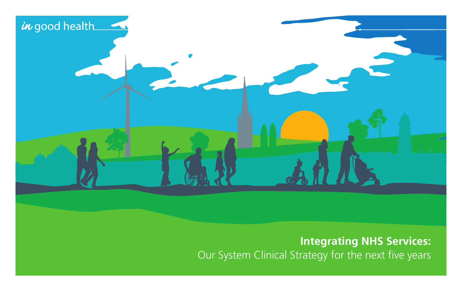

### **Integrating NHS Services:**  Our System Clinical Strategy for the next five years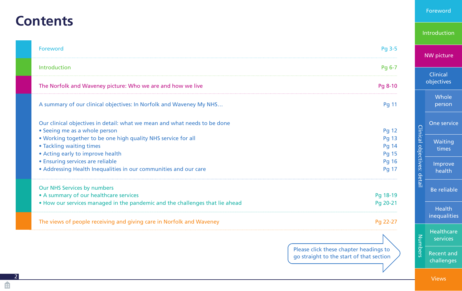## <span id="page-1-0"></span>**Contents**

2

由

| Pg 3-5                                 | <b>NW</b> picture                                                |  |  |
|----------------------------------------|------------------------------------------------------------------|--|--|
| Pg 6-7                                 |                                                                  |  |  |
|                                        | Clinical<br>objectives                                           |  |  |
| Pg 8-10                                |                                                                  |  |  |
| <b>Pg 11</b>                           | Whole<br>person                                                  |  |  |
|                                        | One service                                                      |  |  |
| <b>Pg 12</b>                           |                                                                  |  |  |
| Pg 13                                  | Waiting                                                          |  |  |
| <b>Pg 14</b>                           |                                                                  |  |  |
| Pg 15                                  | times                                                            |  |  |
| <b>Pg 16</b>                           | Improve                                                          |  |  |
| Pg 17                                  | Clinical objectives: detail<br>health                            |  |  |
|                                        | Be reliable                                                      |  |  |
|                                        |                                                                  |  |  |
|                                        |                                                                  |  |  |
|                                        | <b>Health</b>                                                    |  |  |
| Pg 22-27                               | inequalities                                                     |  |  |
|                                        | <b>Healthcare</b><br>services                                    |  |  |
| Please click these chapter headings to | <b>Numbers</b><br><b>Recent and</b>                              |  |  |
|                                        | Pg 18-19<br>Pg 20-21<br>no straight to the start of that section |  |  |

go straight to the start of that section

[Foreword](#page-2-0)

[Introduction](#page-5-0)

challenges

[Views](#page-21-0)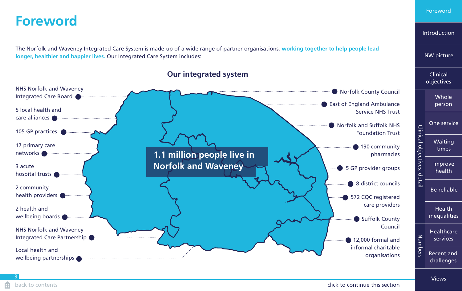### <span id="page-2-0"></span>**Foreword**

The Norfolk and Waveney Integrated Care System is made-up of a wide range of partner organisations, **working together to help people lead longer, healthier and happier lives.** Our Integrated Care System includes:



#### **Our integrated system**

Foreword

[Introduction](#page-5-0)

Clinical

[NW picture](#page-7-0)

[Views](#page-21-0)

3

#### **back to contents** contents continue this section back to continue this section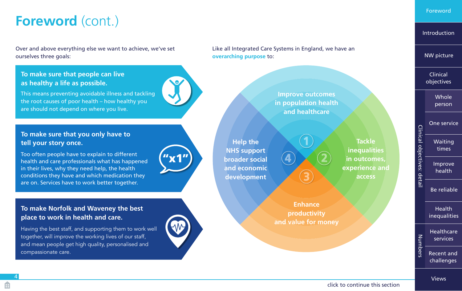# <span id="page-3-0"></span>**Foreword** (cont.)

Over and above everything else we want to achieve, we've set ourselves three goals:

#### **To make sure that people can live as healthy a life as possible.**

This means preventing avoidable illness and tackling the root causes of poor health – how healthy you are should not depend on where you live.

#### **To make sure that you only have to tell your story once.**

Too often people have to explain to different health and care professionals what has happened in their lives, why they need help, the health conditions they have and which medication they are on. Services have to work better together.

### **To make Norfolk and Waveney the best place to work in health and care.**

Having the best staff, and supporting them to work well together, will improve the working lives of our staff, and mean people get high quality, personalised and compassionate care.



"x1"

Like all Integrated Care Systems in England, we have an **overarching purpose** to:

> **Improve outcomes in population health and healthcare**

**1**   $\begin{array}{c} \textbf{4} \textbf{)} \times \textbf{2} \end{array}$ **3** 

**Help the NHS support broader social and economic development**

> **Enhance productivity and value for money**

**Tackle inequalities in outcomes, experience and access**

Clinical objectives: detail Clinical objectives: detail times [Improve](#page-14-0)  health [Be reliable](#page-15-0)

> Health [inequalities](#page-16-0)

[Healthcare](#page-17-0)  Numbers Numbers services [Recent and](#page-19-0)  challenges

[Views](#page-21-0)

4

[Introduction](#page-5-0)

[NW picture](#page-7-0)

Clinical [objectives](#page-10-0)

> [Whole](#page-11-0)  person

[One service](#page-12-0) [Waiting](#page-13-0)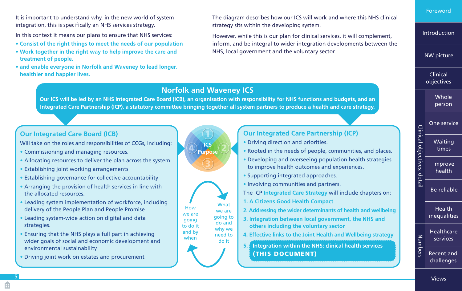<span id="page-4-0"></span>It is important to understand why, in the new world of system integration, this is specifically an NHS services strategy.

In this context it means our plans to ensure that NHS services:

- **Consist of the right things to meet the needs of our population**
- **Work together in the right way to help improve the care and treatment of people,**
- **and enable everyone in Norfolk and Waveney to lead longer, healthier and happier lives.**

The diagram describes how our ICS will work and where this NHS clinical strategy sits within the developing system.

However, while this is our plan for clinical services, it will complement, inform, and be integral to wider integration developments between the NHS, local government and the voluntary sector.

[Foreword](#page-2-0)

[Introduction](#page-5-0)

[NW picture](#page-7-0)

Clinical [objectives](#page-10-0)

> **Whole** person

[One service](#page-12-0)

[Waiting](#page-13-0)  times

Clinical objectives: detail

Clinical objectives: detail

Numbers

Numbers

[Improve](#page-14-0)  health

[Be reliable](#page-15-0)

**Health** [inequalities](#page-16-0)

**Healthcare** services

[Recent and](#page-19-0)  challenges

**Our Integrated Care Board (ICB)**

Will take on the roles and responsibilities of CCGs, including:

- Commissioning and managing resources.
- Allocating resources to deliver the plan across the system
- Establishing joint working arrangements
- Establishing governance for collective accountability
- Arranging the provision of health services in line with the allocated resources.
- Leading system implementation of workforce, including delivery of the People Plan and People Promise
- Leading system-wide action on digital and data strategies.
- Ensuring that the NHS plays a full part in achieving wider goals of social and economic development and environmental sustainability
- Driving joint work on estates and procurement

**ICS Purpose 1**   $\left( 4 \right)$   $_{\text{Purpose}}$   $\left( 2 \right)$ **3** 

**Norfolk and Waveney ICS Our ICS will be led by an NHS Integrated Care Board (ICB), an organisation with responsibility for NHS functions and budgets, and an Integrated Care Partnership (ICP), a statutory committee bringing together all system partners to produce a health and care strategy.**



need to do it

and by when

**Our Integrated Care Partnership (ICP)**

- Driving direction and priorities.
- Rooted in the needs of people, communities, and places.
- Developing and overseeing population health strategies to improve health outcomes and experiences.
- Supporting integrated approaches.
- Involving communities and partners.
- The ICP **Integrated Care Strategy** will include chapters on:
- **1. A Citizens Good Health Compact**
- **2. Addressing the wider determinants of health and wellbeing**
- **3. Integration between local government, the NHS and others including the voluntary sector**
- **4. Effective links to the Joint Health and Wellbeing strategy**
- **5. Integration within the NHS: clinical health services** (THIS DOCUMENT)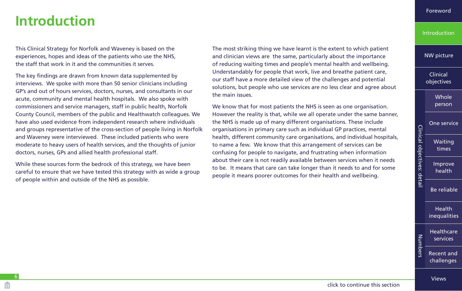**Introduction** 

## <span id="page-5-0"></span>**Introduction**

6

This Clinical Strategy for Norfolk and Waveney is based on the experiences, hopes and ideas of the patients who use the NHS, the staff that work in it and the communities it serves.

The key findings are drawn from known data supplemented by interviews. We spoke with more than 50 senior clinicians including GP's and out of hours services, doctors, nurses, and consultants in our acute, community and mental health hospitals. We also spoke with commissioners and service managers, staff in public health, Norfolk County Council, members of the public and Healthwatch colleagues. We have also used evidence from independent research where individuals and groups representative of the cross-section of people living in Norfolk and Waveney were interviewed. These included patients who were moderate to heavy users of health services, and the thoughts of junior doctors, nurses, GPs and allied health professional staff.

While these sources form the bedrock of this strategy, we have been careful to ensure that we have tested this strategy with as wide a group of people within and outside of the NHS as possible.

The most striking thing we have learnt is the extent to which patient and clinician views are the same, particularly about the importance of reducing waiting times and people's mental health and wellbeing. Understandably for people that work, live and breathe patient care, our staff have a more detailed view of the challenges and potential solutions, but people who use services are no less clear and agree about the main issues.

We know that for most patients the NHS is seen as one organisation. However the reality is that, while we all operate under the same banner, the NHS is made up of many different organisations. These include organisations in primary care such as individual GP practices, mental health, different community care organisations, and individual hospitals, to name a few. We know that this arrangement of services can be confusing for people to navigate, and frustrating when information about their care is not readily available between services when it needs to be. It means that care can take longer than it needs to and for some people it means poorer outcomes for their health and wellbeing.

[NW picture](#page-7-0)

Clinical [objectives](#page-10-0)

> [Whole](#page-11-0)  person

[One service](#page-12-0) [Waiting](#page-13-0)  times

Clinical objectives: detail

Clinical objectives: detail

[Improve](#page-14-0)  health

[Be reliable](#page-15-0)

Health [inequalities](#page-16-0)

[Healthcare](#page-17-0)  Numbers Numbers services [Recent and](#page-19-0)  challenges

[Views](#page-21-0)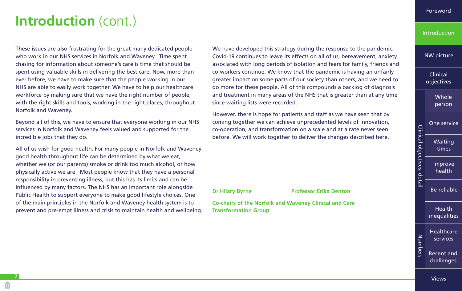## <span id="page-6-0"></span>**Introduction** (cont.)

These issues are also frustrating for the great many dedicated people who work in our NHS services in Norfolk and Waveney. Time spent chasing for information about someone's care is time that should be spent using valuable skills in delivering the best care. Now, more than ever before, we have to make sure that the people working in our NHS are able to easily work together. We have to help our healthcare workforce by making sure that we have the right number of people, with the right skills and tools, working in the right places, throughout Norfolk and Waveney.

Beyond all of this, we have to ensure that everyone working in our NHS services in Norfolk and Waveney feels valued and supported for the incredible jobs that they do.

All of us wish for good health. For many people in Norfolk and Waveney good health throughout life can be determined by what we eat, whether we (or our parents) smoke or drink too much alcohol, or how physically active we are. Most people know that they have a personal responsibility in preventing illness, but this has its limits and can be influenced by many factors. The NHS has an important role alongside Public Health to support everyone to make good lifestyle choices. One of the main principles in the Norfolk and Waveney health system is to prevent and pre-empt illness and crisis to maintain health and wellbeing. We have developed this strategy during the response to the pandemic. Covid-19 continues to leave its effects on all of us, bereavement, anxiety associated with long periods of isolation and fears for family, friends and co-workers continue. We know that the pandemic is having an unfairly greater impact on some parts of our society than others, and we need to do more for these people. All of this compounds a backlog of diagnosis and treatment in many areas of the NHS that is greater than at any time since waiting lists were recorded.

However, there is hope for patients and staff as we have seen that by coming together we can achieve unprecedented levels of innovation, co-operation, and transformation on a scale and at a rate never seen before. We will work together to deliver the changes described here.

**Dr Hilary Byrne**  Professor Erika Denton

**Co-chairs of the Norfolk and Waveney Clinical and Care Transformation Group**

#### **[Introduction](#page-5-0)**

[NW picture](#page-7-0)

Clinical [objectives](#page-10-0)

> [Whole](#page-11-0)  person

[One service](#page-12-0) [Waiting](#page-13-0)  times [Improve](#page-14-0)  health

Clinical objectives: detail

Clinical objectives: detail

[Be reliable](#page-15-0)

Health [inequalities](#page-16-0)

[Healthcare](#page-17-0)  Numbers Numbers services [Recent and](#page-19-0)  challenges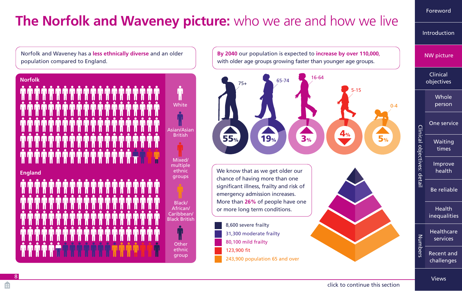# <span id="page-7-0"></span>**The Norfolk and Waveney picture:** who we are and how we live

Norfolk and Waveney has a **less ethnically diverse** and an older population compared to England.



**By 2040** our population is expected to **increase by over 110,000**, with older age groups growing faster than younger age groups.



### NW picture Clinical [objectives](#page-10-0) **Whole** person [One service](#page-12-0) Clinical objectives: detail Clinical objectives: detail [Waiting](#page-13-0)  times [Improve](#page-14-0)  health [Be reliable](#page-15-0) Health [inequalities](#page-16-0) [Healthcare](#page-17-0)  Numbers Numbers services [Recent and](#page-19-0)  challenges

[Foreword](#page-2-0)

[Introduction](#page-5-0)

#### [Views](#page-21-0)

#### [click to continue this section](#page-8-0)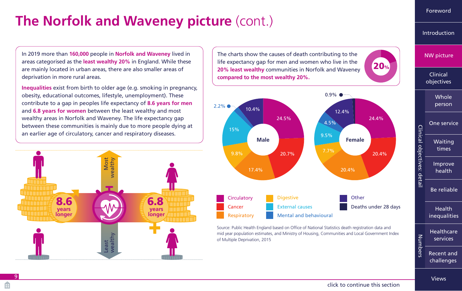# <span id="page-8-0"></span>**The Norfolk and Waveney picture (cont.)**

In 2019 more than **160,000** people in **Norfolk and Waveney** lived in areas categorised as the **least wealthy 20%** in England. While these are mainly located in urban areas, there are also smaller areas of deprivation in more rural areas.

**Inequalities** exist from birth to older age (e.g. smoking in pregnancy, obesity, educational outcomes, lifestyle, unemployment). These contribute to a gap in peoples life expectancy of **8.6 years for men**  and **6.8 years for women** between the least wealthy and most wealthy areas in Norfolk and Waveney. The life expectancy gap between these communities is mainly due to more people dying at an earlier age of circulatory, cancer and respiratory diseases.



The charts show the causes of death contributing to the life expectancy gap for men and women who live in the **20% least wealthy** communities in Norfolk and Waveney **compared to the most wealthy 20%.**



Source: Public Health England based on Office of National Statistics death registration data and mid year population estimates, and Ministry of Housing, Communities and Local Government Index of Multiple Deprivation, 2015

[Foreword](#page-2-0)

[Introduction](#page-5-0)

[NW picture](#page-7-0)

Clinical [objectives](#page-10-0)

> [Whole](#page-11-0)  person

[One service](#page-12-0) [Waiting](#page-13-0)  times [Improve](#page-14-0)  health [Be reliable](#page-15-0)

Clinical objectives: detail

Clinical objectives: detail

20%

Health [inequalities](#page-16-0)

**Healthcare** Numbers Numbers services [Recent and](#page-19-0)  challenges

[Views](#page-21-0)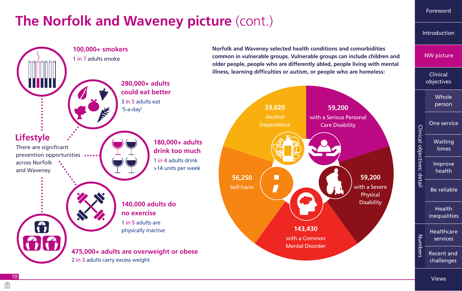# <span id="page-9-0"></span>**The Norfolk and Waveney picture (cont.)**



[Foreword](#page-2-0)

[Introduction](#page-5-0)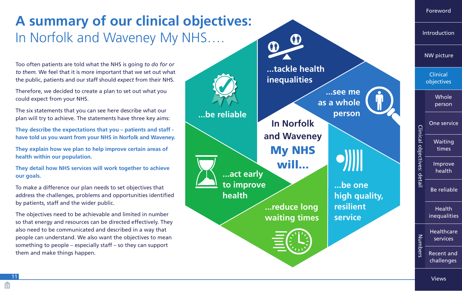<span id="page-10-0"></span>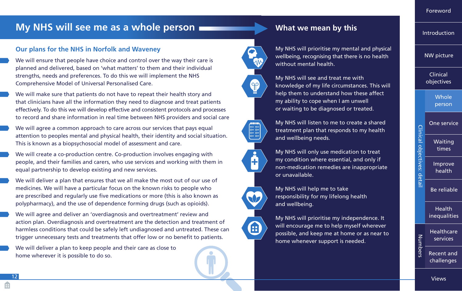### <span id="page-11-0"></span>**My NHS will see me as a whole person <b>Willem Communist State** What we mean by this

#### **Our plans for the NHS in Norfolk and Waveney**

We will ensure that people have choice and control over the way their care is planned and delivered, based on 'what matters' to them and their individual strengths, needs and preferences. To do this we will implement the NHS Comprehensive Model of Universal Personalised Care.

We will make sure that patients do not have to repeat their health story and that clinicians have all the information they need to diagnose and treat patients effectively. To do this we will develop effective and consistent protocols and processes to record and share information in real time between NHS providers and social care

We will agree a common approach to care across our services that pays equal attention to peoples mental and physical health, their identity and social situation. This is known as a biopsychosocial model of assessment and care.

We will create a co-production centre. Co-production involves engaging with people, and their families and carers, who use services and working with them in equal partnership to develop existing and new services.

We will deliver a plan that ensures that we all make the most out of our use of medicines. We will have a particular focus on the known risks to people who are prescribed and regularly use five medications or more (this is also known as polypharmacy), and the use of dependence forming drugs (such as opioids).

We will agree and deliver an 'overdiagnosis and overtreatment' review and action plan. Overdiagnosis and overtreatment are the detection and treatment of harmless conditions that could be safely left undiagnosed and untreated. These can trigger unnecessary tests and treatments that offer low or no benefit to patients.

We will deliver a plan to keep people and their care as close to home wherever it is possible to do so.



 $\Theta$ 



My NHS will see and treat me with knowledge of my life circumstances. This will help them to understand how these affect my ability to cope when I am unwell or waiting to be diagnosed or treated.



My NHS will listen to me to create a shared treatment plan that responds to my health and wellbeing needs.



Æ

My NHS will only use medication to treat my condition where essential, and only if non-medication remedies are inappropriate or unavailable.

My NHS will help me to take responsibility for my lifelong health and wellbeing.

My NHS will prioritise my independence. It will encourage me to help myself wherever possible, and keep me at home or as near to home whenever support is needed.

[Foreword](#page-2-0)

[Introduction](#page-5-0)

[NW picture](#page-7-0)

Clinical [objectives](#page-10-0)

> **Whole** person

[One service](#page-12-0) [Waiting](#page-13-0)  times

[Improve](#page-14-0)  health

Clinical objectives: detail

Clinical objectives: detail

[Be reliable](#page-15-0)

Health [inequalities](#page-16-0)

**Healthcare** Number Numbers services

[Recent and](#page-19-0)  challenges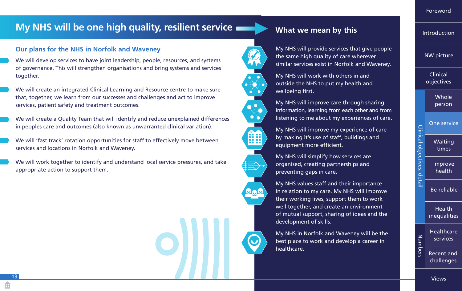### <span id="page-12-0"></span>**My NHS will be one high quality, resilient service**

#### **Our plans for the NHS in Norfolk and Waveney**

We will develop services to have joint leadership, people, resources, and systems of governance. This will strengthen organisations and bring systems and services together.

We will create an integrated Clinical Learning and Resource centre to make sure that, together, we learn from our successes and challenges and act to improve services, patient safety and treatment outcomes.

We will create a Quality Team that will identify and reduce unexplained differences in peoples care and outcomes (also known as unwarranted clinical variation).

We will 'fast track' rotation opportunities for staff to effectively move between services and locations in Norfolk and Waveney.

We will work together to identify and understand local service pressures, and take appropriate action to support them.





88

My NHS will provide services that give people the same high quality of care wherever similar services exist in Norfolk and Waveney.

My NHS will work with others in and outside the NHS to put my health and wellbeing first.



My NHS will improve my experience of care by making it's use of staff, buildings and equipment more efficient.

My NHS will simplify how services are organised, creating partnerships and preventing gaps in care.

My NHS values staff and their importance in relation to my care. My NHS will improve their working lives, support them to work well together, and create an environment of mutual support, sharing of ideas and the development of skills.

My NHS in Norfolk and Waveney will be the best place to work and develop a career in healthcare.

[Foreword](#page-2-0)

**[Introduction](#page-5-0)** 

[NW picture](#page-7-0)

Clinical [objectives](#page-10-0)

> [Whole](#page-11-0)  person

One service [Waiting](#page-13-0)  times [Improve](#page-14-0)  health

Clinical objectives: detail

Clinical objectives: detai

[Be reliable](#page-15-0)

Health [inequalities](#page-16-0)

**Healthcare** Numbers Numbers services [Recent and](#page-19-0) 

challenges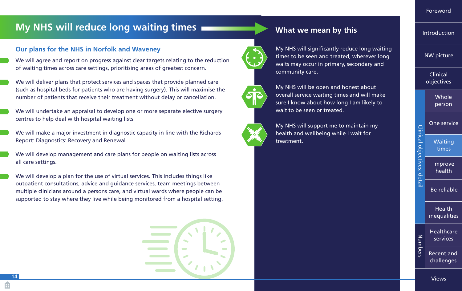### <span id="page-13-0"></span>**My NHS will reduce long waiting times**

#### **Our plans for the NHS in Norfolk and Waveney**

We will agree and report on progress against clear targets relating to the reduction of waiting times across care settings, prioritising areas of greatest concern.

We will deliver plans that protect services and spaces that provide planned care (such as hospital beds for patients who are having surgery). This will maximise the number of patients that receive their treatment without delay or cancellation.

We will undertake an appraisal to develop one or more separate elective surgery centres to help deal with hospital waiting lists.

We will make a major investment in diagnostic capacity in line with the Richards Report: Diagnostics: Recovery and Renewal

We will develop management and care plans for people on waiting lists across all care settings.

We will develop a plan for the use of virtual services. This includes things like outpatient consultations, advice and guidance services, team meetings between multiple clinicians around a persons care, and virtual wards where people can be supported to stay where they live while being monitored from a hospital setting.







My NHS will significantly reduce long waiting times to be seen and treated, wherever long waits may occur in primary, secondary and community care.



My NHS will be open and honest about overall service waiting times and will make sure I know about how long I am likely to wait to be seen or treated.

My NHS will support me to maintain my health and wellbeing while I wait for treatment.



[Foreword](#page-2-0)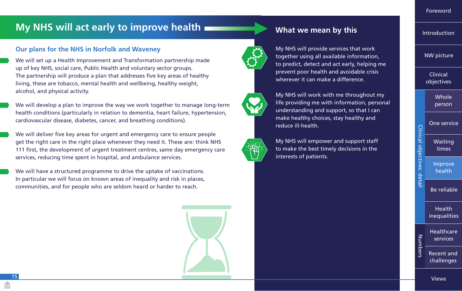### <span id="page-14-0"></span>**My NHS will act early to improve health**

#### **Our plans for the NHS in Norfolk and Waveney**

We will set up a Health Improvement and Transformation partnership made up of key NHS, social care, Public Health and voluntary sector groups. The partnership will produce a plan that addresses five key areas of healthy living, these are tobacco, mental health and wellbeing, healthy weight, alcohol, and physical activity.

We will develop a plan to improve the way we work together to manage long-term health conditions (particularly in relation to dementia, heart failure, hypertension, cardiovascular disease, diabetes, cancer, and breathing conditions).

We will deliver five key areas for urgent and emergency care to ensure people get the right care in the right place whenever they need it. These are: think NHS 111 first, the development of urgent treatment centres, same day emergency care services, reducing time spent in hospital, and ambulance services.

We will have a structured programme to drive the uptake of vaccinations. In particular we will focus on known areas of inequality and risk in places, communities, and for people who are seldom heard or harder to reach.



**What we mean by this**





My NHS will work with me throughout my life providing me with information, personal understanding and support, so that I can make healthy choices, stay healthy and reduce ill-health.

My NHS will empower and support staff to make the best timely decisions in the interests of patients.



[Introduction](#page-5-0)

[NW picture](#page-7-0)

15

[Views](#page-21-0)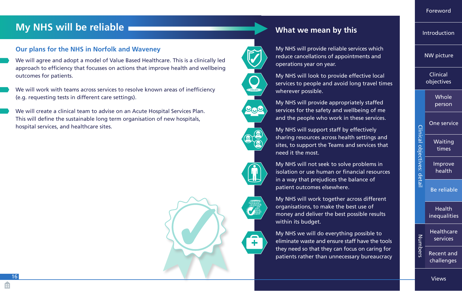### <span id="page-15-0"></span>**My NHS will be reliable**

#### **Our plans for the NHS in Norfolk and Waveney**

We will agree and adopt a model of Value Based Healthcare. This is a clinically led approach to efficiency that focusses on actions that improve health and wellbeing outcomes for patients.

We will work with teams across services to resolve known areas of inefficiency (e.g. requesting tests in different care settings).

We will create a clinical team to advise on an Acute Hospital Services Plan. This will define the sustainable long term organisation of new hospitals, hospital services, and healthcare sites.



### **What we mean by this**



My NHS will provide reliable services which reduce cancellations of appointments and operations year on year.

My NHS will look to provide effective local services to people and avoid long travel times wherever possible.





need it the most.





**O** 

My NHS will not seek to solve problems in isolation or use human or financial resources in a way that prejudices the balance of patient outcomes elsewhere.

sharing resources across health settings and sites, to support the Teams and services that

My NHS will work together across different organisations, to make the best use of money and deliver the best possible results within its budget.

My NHS we will do everything possible to eliminate waste and ensure staff have the tools they need so that they can focus on caring for patients rather than unnecessary bureaucracy

[Foreword](#page-2-0)

[Introduction](#page-5-0)

[NW picture](#page-7-0)

Clinical [objectives](#page-10-0)

> **Whole** person

[One service](#page-12-0) [Waiting](#page-13-0)  times

[Improve](#page-14-0)  health

Clinical objectives: detail

Clinical objectives: detai

Numbers

Be reliable

Health [inequalities](#page-16-0)

Numbers **Healthcare** services

[Recent and](#page-19-0)  challenges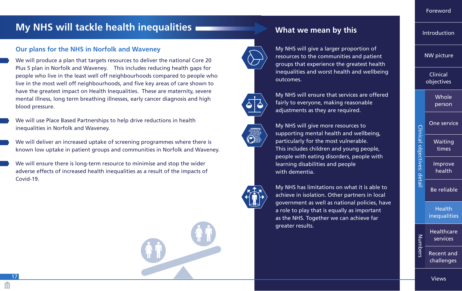### <span id="page-16-0"></span>**My NHS will tackle health inequalities**

#### **Our plans for the NHS in Norfolk and Waveney**

We will produce a plan that targets resources to deliver the national Core 20 Plus 5 plan in Norfolk and Waveney. This includes reducing health gaps for people who live in the least well off neighbourhoods compared to people who live in the most well off neighbourhoods, and five key areas of care shown to have the greatest impact on Health Inequalities. These are maternity, severe mental illness, long term breathing illnesses, early cancer diagnosis and high blood pressure.

We will use Place Based Partnerships to help drive reductions in health inequalities in Norfolk and Waveney.

We will deliver an increased uptake of screening programmes where there is known low uptake in patient groups and communities in Norfolk and Waveney.

We will ensure there is long-term resource to minimise and stop the wider adverse effects of increased health inequalities as a result of the impacts of Covid-19.



### **What we mean by this**



My NHS will give a larger proportion of resources to the communities and patient groups that experience the greatest health inequalities and worst health and wellbeing outcomes.



My NHS will ensure that services are offered fairly to everyone, making reasonable adjustments as they are required.



My NHS will give more resources to supporting mental health and wellbeing, particularly for the most vulnerable. This includes children and young people, people with eating disorders, people with learning disabilities and people with dementia.



My NHS has limitations on what it is able to achieve in isolation. Other partners in local government as well as national policies, have a role to play that is equally as important as the NHS. Together we can achieve far greater results.

[Foreword](#page-2-0)

[Introduction](#page-5-0)

[NW picture](#page-7-0)

Clinical [objectives](#page-10-0)

> [Whole](#page-11-0)  person

[One service](#page-12-0) [Waiting](#page-13-0)  times

Clinical objectives: detail

Clinical objectives: detai

[Improve](#page-14-0)  health

[Be reliable](#page-15-0)

**Health** inequalities

**Healthcare** Number Numbers services [Recent and](#page-19-0) 

challenges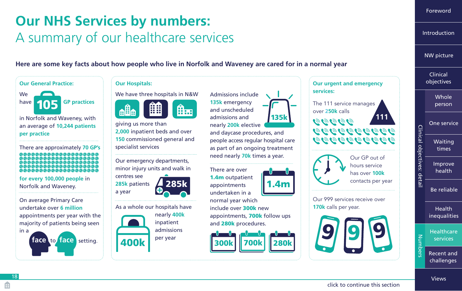# <span id="page-17-0"></span>**Our NHS Services by numbers:**  A summary of our healthcare services

**Here are some key facts about how people who live in Norfolk and Waveney are cared for in a normal year**





## **Whole** person Clinical [objectives](#page-10-0) [Introduction](#page-5-0) [NW picture](#page-7-0)

[Foreword](#page-2-0)

[One service](#page-12-0) [Waiting](#page-13-0)  times [Improve](#page-14-0)  health [Be reliable](#page-15-0)

Clinical objectives: detail

Clinical objectives: detail

Health [inequalities](#page-16-0)

**Healthcare** Numbers Numbers services [Recent and](#page-19-0) 

[Views](#page-21-0)

challenges

### [click to continue this section](#page-18-0)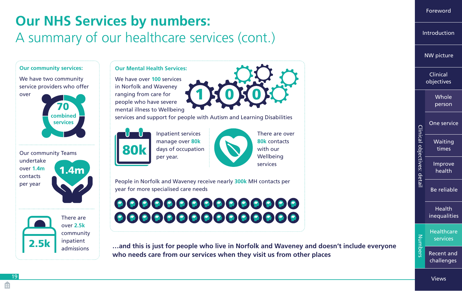# <span id="page-18-0"></span>**Our NHS Services by numbers:**  A summary of our healthcare services (cont.)



[Foreword](#page-2-0)

[Introduction](#page-5-0)

[NW picture](#page-7-0)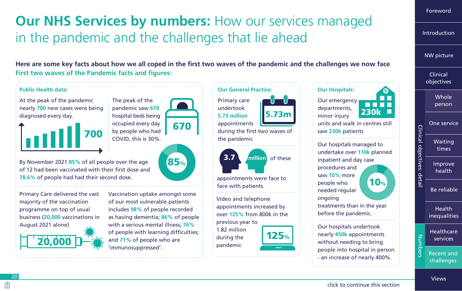# <span id="page-19-0"></span>**Our NHS Services by numbers:** How our services managed in the pandemic and the challenges that lie ahead

**Here are some key facts about how we all coped in the first two waves of the pandemic and the challenges we now face First two waves of the Pandemic facts and figures:**

#### **Our General Practice: Public Health data: Our Hospitals:** ⊕ At the peak of the pandemic The peak of the Primary care Our emergency nearly **700** new cases were being pandemic saw **670** undertook departments, 230k 5.73m diagnosed every day. hospital beds being **5.73 million** minor injury occupied every day appointments units and walk in centres still 670 Clinical objectives: detail Clinical objectives: detail by people who had during the first two waves of saw **230k** patients 700 COVID, this is 30%. the pandemic Our hospitals managed to undertake over **110k** planned 3.7 **million** of these inpatient and day case By November 2021 **85%** of all people over the age 85% procedures and of 12 had been vaccinated with their first dose and saw **10%** more **78.6%** of people had had their second dose. appointments were face to 10% people who face with patients. needed regular Primary Care delivered the vast Vaccination uptake amongst some ongoing Video and telephone majority of the vaccination of our most vulnerable patients treatments than in the year appointments increased by programme on top of usual includes **98%** of people recorded over **125%** from 800k in the before the pandemic. business (**20,000** vaccinations in as having dementia; **86%** of people August 2021 alone)



with a serious mental illness; **76%** of people with learning difficulties; and **71%** of people who are 'immunosuppressed'.



Our hospitals undertook nearly **450k** appointments without needing to bring people into hospital in person - an increase of nearly 400%.

person [One service](#page-12-0) [Waiting](#page-13-0)  times [Improve](#page-14-0)  health [Be reliable](#page-15-0) **Health** [inequalities](#page-16-0) [Healthcare](#page-17-0)  Numbers Numbers services Recent and challenges [Views](#page-21-0)

[Whole](#page-11-0) 

Clinical [objectives](#page-10-0)

[NW picture](#page-7-0)

[Foreword](#page-2-0)

[Introduction](#page-5-0)

#### [click to continue this section](#page-20-0)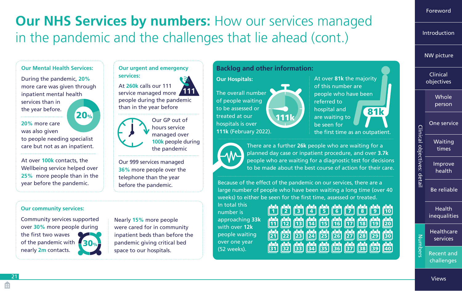# <span id="page-20-0"></span>**Our NHS Services by numbers:** How our services managed in the pandemic and the challenges that lie ahead (cont.)

#### **Our Mental Health Services:**

During the pandemic, **20%** more care was given through inpatient mental health services than in the year before.

20%

**20%** more care was also given to people needing specialist care but not as an inpatient.

At over **100k** contacts, the Wellbeing service helped over **25%** more people than in the year before the pandemic.

#### **Our urgent and emergency services:**

At **260k** calls our 111 service managed more people during the pandemic than in the year before **111**



Our 999 services managed **36%** more people over the telephone than the year before the pandemic.

#### **Our community services:**

Community services supported over **30%** more people during the first two waves of the pandemic with nearly **2m** contacts. 30%

Nearly **15%** more people were cared for in community inpatient beds than before the pandemic giving critical bed space to our hospitals.

### **Backlog and other information:**

**Our Hospitals:** The overall number of people waiting to be assessed or treated at our hospitals is over **111k** (February 2022).

At over **81k** the majority of this number are people who have been referred to hospital and 111k are waiting to **81k** be seen for the first time as an outpatient.



There are a further **26k** people who are waiting for a planned day case or inpatient procedure, and over **3.7k** people who are waiting for a diagnostic test for decisions to be made about the best course of action for their care.

Because of the effect of the pandemic on our services, there are a large number of people who have been waiting a long time (over 40 weeks) to either be seen for the first time, assessed or treated.

In total this number is approaching **33k** with over **12k** people waiting over one year (52 weeks).

| <u>ةً) لَوْا لَقَا لَيْلَ لَيْلَ لَقَا لَوْا لَمْا لَوْا لَوْا لَيْلَ</u> |  |                                                        |  |  |
|---------------------------------------------------------------------------|--|--------------------------------------------------------|--|--|
|                                                                           |  | <u>11 [12] [13] [14] [15] [16] [17] [18] [19] [20</u>  |  |  |
|                                                                           |  |                                                        |  |  |
|                                                                           |  | <u>21) [22] [23] [24] [25] [26] [27] [28] [29] [30</u> |  |  |

### [NW picture](#page-7-0) Clinical [objectives](#page-10-0) **Whole** person [One service](#page-12-0) Clinical objectives: detail Clinical objectives: detail [Waiting](#page-13-0)  times [Improve](#page-14-0)  health [Be reliable](#page-15-0) Health [inequalities](#page-16-0) [Healthcare](#page-17-0)

[Foreword](#page-2-0)

[Introduction](#page-5-0)

Numbers Numbers [Recent and](#page-19-0)  challenges

[Views](#page-21-0)

services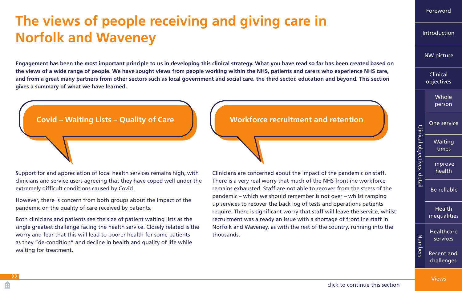# <span id="page-21-0"></span>**The views of people receiving and giving care in Norfolk and Waveney**

**Engagement has been the most important principle to us in developing this clinical strategy. What you have read so far has been created based on the views of a wide range of people. We have sought views from people working within the NHS, patients and carers who experience NHS care, and from a great many partners from other sectors such as local government and social care, the third sector, education and beyond. This section gives a summary of what we have learned.**

### **Covid – Waiting Lists – Quality of Care Notation Workforce recruitment and retention**

Support for and appreciation of local health services remains high, with clinicians and service users agreeing that they have coped well under the extremely difficult conditions caused by Covid.

However, there is concern from both groups about the impact of the pandemic on the quality of care received by patients.

Both clinicians and patients see the size of patient waiting lists as the single greatest challenge facing the health service. Closely related is the worry and fear that this will lead to poorer health for some patients as they "de-condition" and decline in health and quality of life while waiting for treatment.

Clinicians are concerned about the impact of the pandemic on staff. There is a very real worry that much of the NHS frontline workforce remains exhausted. Staff are not able to recover from the stress of the pandemic – which we should remember is not over – whilst ramping up services to recover the back log of tests and operations patients require. There is significant worry that staff will leave the service, whilst recruitment was already an issue with a shortage of frontline staff in Norfolk and Waveney, as with the rest of the country, running into the thousands.

### [objectives](#page-10-0) [Whole](#page-11-0)  person [One service](#page-12-0) Clinical objectives: detail Clinical objectives: detail [Waiting](#page-13-0)  times Improve **health** [Be reliable](#page-15-0) Health [inequalities](#page-16-0) **Healthcare** Numbers Numbers services [Recent and](#page-19-0)

Clinical

[NW picture](#page-7-0)

[Foreword](#page-2-0)

[Introduction](#page-5-0)

Views

challenges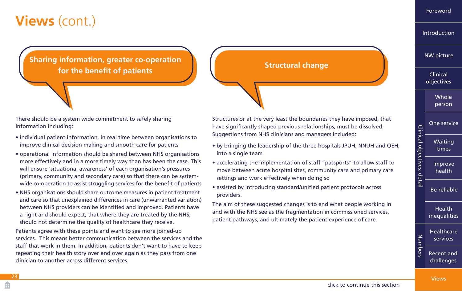<span id="page-22-0"></span>**Sharing information, greater co-operation for the benefit of patients Structural change** 

There should be a system wide commitment to safely sharing information including:

- individual patient information, in real time between organisations to improve clinical decision making and smooth care for patients
- operational information should be shared between NHS organisations more effectively and in a more timely way than has been the case. This will ensure 'situational awareness' of each organisation's pressures (primary, community and secondary care) so that there can be systemwide co-operation to assist struggling services for the benefit of patients
- NHS organisations should share outcome measures in patient treatment and care so that unexplained differences in care (unwarranted variation) between NHS providers can be identified and improved. Patients have a right and should expect, that where they are treated by the NHS, should not determine the quality of healthcare they receive.

Patients agree with these points and want to see more joined-up services. This means better communication between the services and the staff that work in them. In addition, patients don't want to have to keep repeating their health story over and over again as they pass from one clinician to another across different services.

Structures or at the very least the boundaries they have imposed, that have significantly shaped previous relationships, must be dissolved. Suggestions from NHS clinicians and managers included:

- by bringing the leadership of the three hospitals JPUH, NNUH and QEH, into a single team
- accelerating the implementation of staff "passports" to allow staff to move between acute hospital sites, community care and primary care settings and work effectively when doing so
- assisted by introducing standard/unified patient protocols across providers.

The aim of these suggested changes is to end what people working in and with the NHS see as the fragmentation in commissioned services, patient pathways, and ultimately the patient experience of care.

[Foreword](#page-2-0)

[Introduction](#page-5-0)

[NW picture](#page-7-0)

Clinical [objectives](#page-10-0)

> [Whole](#page-11-0)  person

[One service](#page-12-0) [Waiting](#page-13-0) 

times

Clinical objectives: detail

Clinical objectives: detail

[Improve](#page-14-0)  health

[Be reliable](#page-15-0)

Health [inequalities](#page-16-0)

[Healthcare](#page-17-0)  Numbers Numbers services [Recent and](#page-19-0)  challenges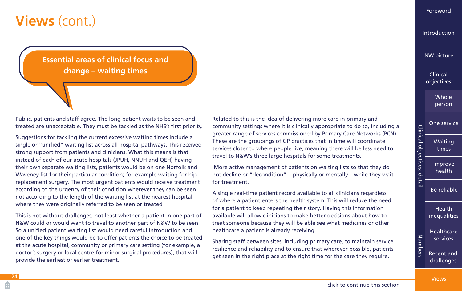<span id="page-23-0"></span>**Essential areas of clinical focus and change – waiting times**

Public, patients and staff agree. The long patient waits to be seen and treated are unacceptable. They must be tackled as the NHS's first priority.

Suggestions for tackling the current excessive waiting times include a single or "unified" waiting list across all hospital pathways. This received strong support from patients and clinicians. What this means is that instead of each of our acute hospitals (JPUH, NNUH and QEH) having their own separate waiting lists, patients would be on one Norfolk and Waveney list for their particular condition; for example waiting for hip replacement surgery. The most urgent patients would receive treatment according to the urgency of their condition wherever they can be seen not according to the length of the waiting list at the nearest hospital where they were originally referred to be seen or treated

This is not without challenges, not least whether a patient in one part of N&W could or would want to travel to another part of N&W to be seen. So a unified patient waiting list would need careful introduction and one of the key things would be to offer patients the choice to be treated at the acute hospital, community or primary care setting (for example, a doctor's surgery or local centre for minor surgical procedures), that will provide the earliest or earlier treatment.

Related to this is the idea of delivering more care in primary and community settings where it is clinically appropriate to do so, including a greater range of services commissioned by Primary Care Networks (PCN). These are the groupings of GP practices that in time will coordinate services closer to where people live, meaning there will be less need to travel to N&W's three large hospitals for some treatments.

More active management of patients on waiting lists so that they do not decline or "decondition" - physically or mentally – while they wait for treatment.

A single real-time patient record available to all clinicians regardless of where a patient enters the health system. This will reduce the need for a patient to keep repeating their story. Having this information available will allow clinicians to make better decisions about how to treat someone because they will be able see what medicines or other healthcare a patient is already receiving

Sharing staff between sites, including primary care, to maintain service resilience and reliability and to ensure that wherever possible, patients get seen in the right place at the right time for the care they require.

[Foreword](#page-2-0)

[Introduction](#page-5-0)

[NW picture](#page-7-0)

Clinical [objectives](#page-10-0)

> [Whole](#page-11-0)  person

[One service](#page-12-0)

[Waiting](#page-13-0)  times

Clinical objectives: detail

Clinical objectives: detail

Numbers

Numbers

[Improve](#page-14-0)  health

[Be reliable](#page-15-0)

Health [inequalities](#page-16-0)

[Healthcare](#page-17-0)  services [Recent and](#page-19-0) 

challenges

Æ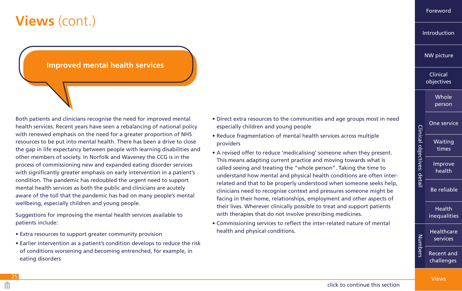### <span id="page-24-0"></span>**Improved mental health services**

Both patients and clinicians recognise the need for improved mental health services. Recent years have seen a rebalancing of national policy with renewed emphasis on the need for a greater proportion of NHS resources to be put into mental health. There has been a drive to close the gap in life expectancy between people with learning disabilities and other members of society. In Norfolk and Waveney the CCG is in the process of commissioning new and expanded eating disorder services with significantly greater emphasis on early intervention in a patient's condition. The pandemic has redoubled the urgent need to support mental health services as both the public and clinicians are acutely aware of the toll that the pandemic has had on many people's mental wellbeing, especially children and young people.

Suggestions for improving the mental health services available to patients include:

- Extra resources to support greater community provision
- Earlier intervention as a patient's condition develops to reduce the risk of conditions worsening and becoming entrenched, for example, in eating disorders
- Direct extra resources to the communities and age groups most in need especially children and young people
- Reduce fragmentation of mental health services across multiple providers
- A revised offer to reduce 'medicalising' someone when they present. This means adapting current practice and moving towards what is called seeing and treating the "whole person". Taking the time to understand how mental and physical health conditions are often interrelated and that to be properly understood when someone seeks help, clinicians need to recognise context and pressures someone might be facing in their home, relationships, employment and other aspects of their lives. Wherever clinically possible to treat and support patients with therapies that do not involve prescribing medicines.
- Commissioning services to reflect the inter-related nature of mental health and physical conditions.

|  | Clinical<br>objectives |
|--|------------------------|
|  | Whole<br>person        |
|  | <b>One service</b>     |
|  | Waiting<br>times       |
|  | Improve<br>health      |
|  | <b>Be reliable</b>     |
|  | Health<br>inequalities |
|  | Healthcare<br>services |
|  | Recent and             |

challenges

[Views](#page-21-0)

[Foreword](#page-2-0)

[Introduction](#page-5-0)

[NW picture](#page-7-0)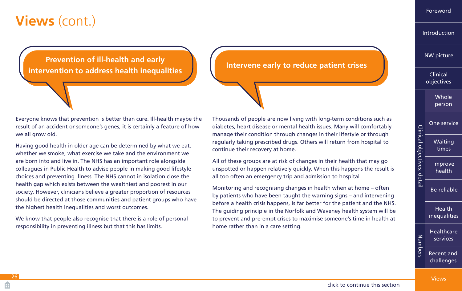<span id="page-25-0"></span>**Prevention of ill-health and early intervention of in health and carry Intervene early to reduce patient crises** intervention to address health inequalities

Everyone knows that prevention is better than cure. Ill-health maybe the result of an accident or someone's genes, it is certainly a feature of how we all grow old.

Having good health in older age can be determined by what we eat, whether we smoke, what exercise we take and the environment we are born into and live in. The NHS has an important role alongside colleagues in Public Health to advise people in making good lifestyle choices and preventing illness. The NHS cannot in isolation close the health gap which exists between the wealthiest and poorest in our society. However, clinicians believe a greater proportion of resources should be directed at those communities and patient groups who have the highest health inequalities and worst outcomes.

We know that people also recognise that there is a role of personal responsibility in preventing illness but that this has limits.

Thousands of people are now living with long-term conditions such as diabetes, heart disease or mental health issues. Many will comfortably manage their condition through changes in their lifestyle or through regularly taking prescribed drugs. Others will return from hospital to continue their recovery at home.

All of these groups are at risk of changes in their health that may go unspotted or happen relatively quickly. When this happens the result is all too often an emergency trip and admission to hospital.

Monitoring and recognising changes in health when at home – often by patients who have been taught the warning signs – and intervening before a health crisis happens, is far better for the patient and the NHS. The guiding principle in the Norfolk and Waveney health system will be to prevent and pre-empt crises to maximise someone's time in health at home rather than in a care setting.

[Introduction](#page-5-0)

[NW picture](#page-7-0)

Clinical [objectives](#page-10-0)

> [Whole](#page-11-0)  person

[One service](#page-12-0) [Waiting](#page-13-0)  times

[Improve](#page-14-0)  health

Clinical objectives: detail

Clinical objectives: detail

[Be reliable](#page-15-0)

Health [inequalities](#page-16-0)

**Healthcare** Number Numbers services [Recent and](#page-19-0)  challenges

[Views](#page-21-0)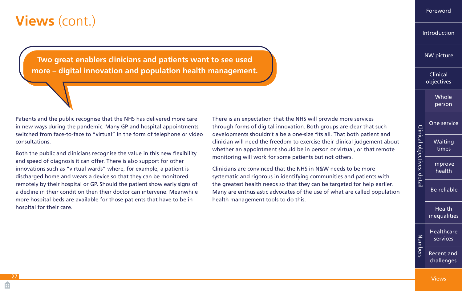<span id="page-26-0"></span>**Two great enablers clinicians and patients want to see used more – digital innovation and population health management.**

Patients and the public recognise that the NHS has delivered more care in new ways during the pandemic. Many GP and hospital appointments switched from face-to-face to "virtual" in the form of telephone or video consultations.

Both the public and clinicians recognise the value in this new flexibility and speed of diagnosis it can offer. There is also support for other innovations such as "virtual wards" where, for example, a patient is discharged home and wears a device so that they can be monitored remotely by their hospital or GP. Should the patient show early signs of a decline in their condition then their doctor can intervene. Meanwhile more hospital beds are available for those patients that have to be in hospital for their care.

There is an expectation that the NHS will provide more services through forms of digital innovation. Both groups are clear that such developments shouldn't a be a one-size fits all. That both patient and clinician will need the freedom to exercise their clinical judgement about whether an appointment should be in person or virtual, or that remote monitoring will work for some patients but not others.

Clinicians are convinced that the NHS in N&W needs to be more systematic and rigorous in identifying communities and patients with the greatest health needs so that they can be targeted for help earlier. Many are enthusiastic advocates of the use of what are called population health management tools to do this.

[Introduction](#page-5-0)

[Foreword](#page-2-0)

[NW picture](#page-7-0)

Clinical [objectives](#page-10-0)

> [Whole](#page-11-0)  person

[One service](#page-12-0) [Waiting](#page-13-0)  times

[Improve](#page-14-0)  health

Clinical objectives: detail

Clinical objectives: detail

[Be reliable](#page-15-0)

Health [inequalities](#page-16-0)

**Healthcare** Numbers Numbers services [Recent and](#page-19-0)  challenges